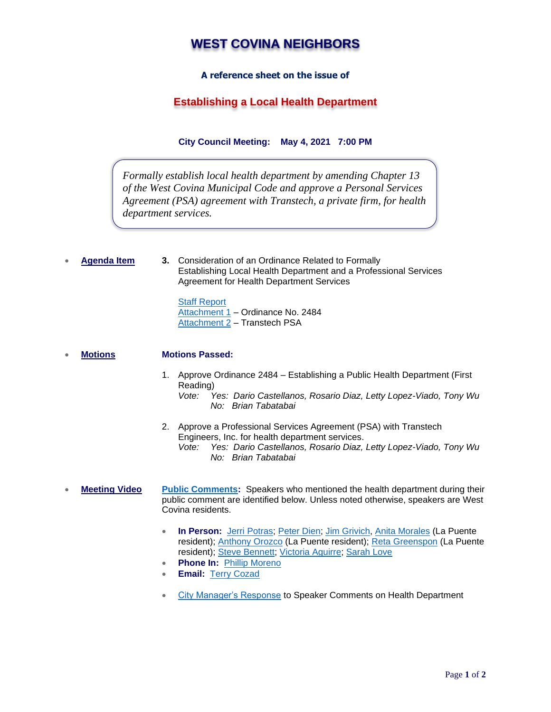# **WEST COVINA NEIGHBORS**

## **A reference sheet on the issue of**

# **Establishing a Local Health Department**

**City Council Meeting: May 4, 2021 7:00 PM**

*Formally establish local health department by amending Chapter 13 of the West Covina Municipal Code and approve a Personal Services Agreement (PSA) agreement with Transtech, a private firm, for health department services.*

#### • **Agenda Item 3.** Consideration of an Ordinance Related to Formally Establishing Local Health Department and a Professional Services Agreement for Health Department Services

[Staff Report](https://a5d9eb56-b29f-422e-8a1d-6d172d8b9617.filesusr.com/ugd/840b23_8c4a9f03db2e4b54baed322fd0a83d12.pdf) [Attachment 1](https://a5d9eb56-b29f-422e-8a1d-6d172d8b9617.filesusr.com/ugd/840b23_9a2bc5e50562474296f2e44bf99430e9.pdf) - Ordinance No. 2484 [Attachment 2](https://a5d9eb56-b29f-422e-8a1d-6d172d8b9617.filesusr.com/ugd/840b23_80817f773b8346a5b27692afdc6835e1.pdf) – Transtech PSA

#### • **Motions Motions Passed:**

- 1. Approve Ordinance 2484 Establishing a Public Health Department (First Reading) *Vote: Yes: Dario Castellanos, Rosario Diaz, Letty Lopez-Viado, Tony Wu No: Brian Tabatabai*
- 2. Approve a Professional Services Agreement (PSA) with Transtech Engineers, Inc. for health department services. *Vote: Yes: Dario Castellanos, Rosario Diaz, Letty Lopez-Viado, Tony Wu No: Brian Tabatabai*
- **Meeting Video [Public Comments:](https://youtu.be/0HQFj7qBo68?t=1072)** Speakers who mentioned the health department during their public comment are identified below. Unless noted otherwise, speakers are West Covina residents.
	- **In Person:** [Jerri Potras;](https://youtu.be/0HQFj7qBo68?t=1850) [Peter Dien;](https://youtu.be/0HQFj7qBo68?t=1935) [Jim Grivich,](https://youtu.be/0HQFj7qBo68?t=2587) [Anita Morales](https://youtu.be/0HQFj7qBo68) (La Puente resident); [Anthony Orozco](https://youtu.be/0HQFj7qBo68?t=3357) (La Puente resident); [Reta Greenspon](https://youtu.be/0HQFj7qBo68?t=3458) (La Puente resident); [Steve Bennett;](https://youtu.be/0HQFj7qBo68?t=3566) [Victoria Aguirre;](https://youtu.be/0HQFj7qBo68?t=3777) [Sarah Love](https://youtu.be/0HQFj7qBo68?t=3937)
	- **Phone In: [Phillip Moreno](https://a5d9eb56-b29f-422e-8a1d-6d172d8b9617.filesusr.com/ugd/840b23_c75369341dc54cc59bbaefb5d959fbc4.pdf)**
	- **Email:** [Terry Cozad](https://www.westcovina.org/home/showpublisheddocument/19873/637557474029370000)
	- [City Manager's Response](https://youtu.be/0HQFj7qBo68?t=4966) to Speaker Comments on Health Department